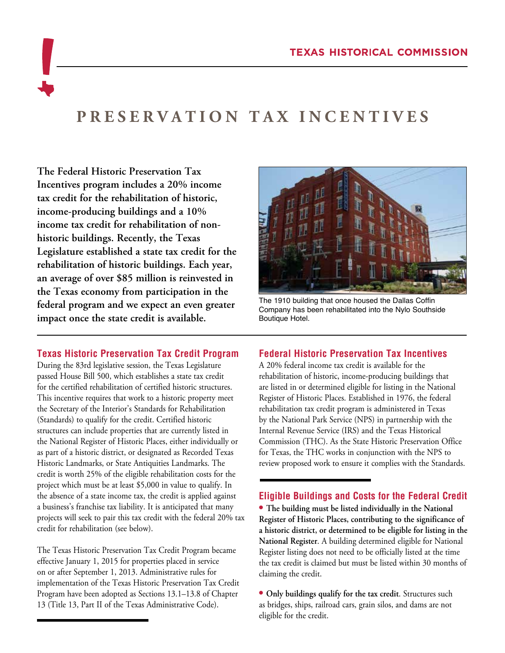# **PRESERVATION TAX INCENTIVES**

**The Federal Historic Preservation Tax Incentives program includes a 20% income tax credit for the rehabilitation of historic, income-producing buildings and a 10% income tax credit for rehabilitation of nonhistoric buildings. Recently, the Texas Legislature established a state tax credit for the rehabilitation of historic buildings. Each year, an average of over \$85 million is reinvested in the Texas economy from participation in the federal program and we expect an even greater impact once the state credit is available.**

#### **Texas Historic Preservation Tax Credit Program**

During the 83rd legislative session, the Texas Legislature passed House Bill 500, which establishes a state tax credit for the certified rehabilitation of certified historic structures. This incentive requires that work to a historic property meet the Secretary of the Interior's Standards for Rehabilitation (Standards) to qualify for the credit. Certified historic structures can include properties that are currently listed in the National Register of Historic Places, either individually or as part of a historic district, or designated as Recorded Texas Historic Landmarks, or State Antiquities Landmarks. The credit is worth 25% of the eligible rehabilitation costs for the project which must be at least \$5,000 in value to qualify. In the absence of a state income tax, the credit is applied against a business's franchise tax liability. It is anticipated that many projects will seek to pair this tax credit with the federal 20% tax credit for rehabilitation (see below).

The Texas Historic Preservation Tax Credit Program became effective January 1, 2015 for properties placed in service on or after September 1, 2013. Administrative rules for implementation of the Texas Historic Preservation Tax Credit Program have been adopted as Sections 13.1–13.8 of Chapter 13 (Title 13, Part II of the Texas Administrative Code).



The 1910 building that once housed the Dallas Coffin Company has been rehabilitated into the Nylo Southside Boutique Hotel.

## **Federal Historic Preservation Tax Incentives**

A 20% federal income tax credit is available for the rehabilitation of historic, income-producing buildings that are listed in or determined eligible for listing in the National Register of Historic Places. Established in 1976, the federal rehabilitation tax credit program is administered in Texas by the National Park Service (NPS) in partnership with the Internal Revenue Service (IRS) and the Texas Historical Commission (THC). As the State Historic Preservation Office for Texas, the THC works in conjunction with the NPS to review proposed work to ensure it complies with the Standards.

#### **Eligible Buildings and Costs for the Federal Credit**

**• The building must be listed individually in the National Register of Historic Places, contributing to the significance of a historic district, or determined to be eligible for listing in the National Register**. A building determined eligible for National Register listing does not need to be officially listed at the time the tax credit is claimed but must be listed within 30 months of claiming the credit.

**• Only buildings qualify for the tax credit**. Structures such as bridges, ships, railroad cars, grain silos, and dams are not eligible for the credit.